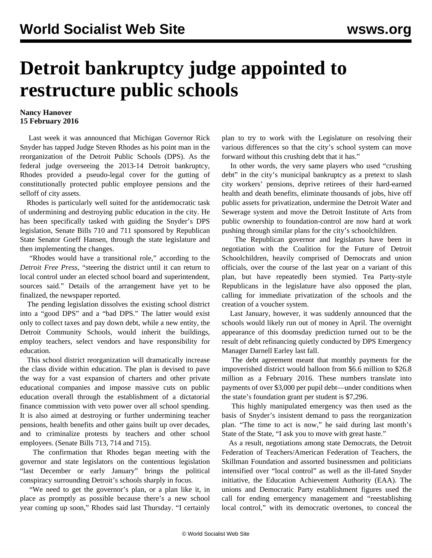## **Detroit bankruptcy judge appointed to restructure public schools**

## **Nancy Hanover 15 February 2016**

 Last week it was announced that Michigan Governor Rick Snyder has tapped Judge Steven Rhodes as his point man in the reorganization of the Detroit Public Schools (DPS). As the federal judge overseeing the 2013-14 Detroit bankruptcy, Rhodes provided a pseudo-legal cover for the gutting of constitutionally protected public employee pensions and the selloff of city assets.

 Rhodes is particularly well suited for the antidemocratic task of undermining and destroying public education in the city. He has been specifically tasked with guiding the Snyder's DPS legislation, Senate Bills 710 and 711 sponsored by Republican State Senator Goeff Hansen, through the state legislature and then implementing the changes.

 "Rhodes would have a transitional role," according to the *Detroit Free Press*, "steering the district until it can return to local control under an elected school board and superintendent, sources said." Details of the arrangement have yet to be finalized, the newspaper reported.

 The pending legislation dissolves the existing school district into a "good DPS" and a "bad DPS." The latter would exist only to collect taxes and pay down debt, while a new entity, the Detroit Community Schools, would inherit the buildings, employ teachers, select vendors and have responsibility for education.

 This school district reorganization will dramatically increase the class divide within education. The plan is devised to pave the way for a vast expansion of charters and other private educational companies and impose massive cuts on public education overall through the establishment of a dictatorial finance commission with veto power over all school spending. It is also aimed at destroying or further undermining teacher pensions, health benefits and other gains built up over decades, and to criminalize protests by teachers and other school employees. (Senate Bills 713, 714 and 715).

 The confirmation that Rhodes began meeting with the governor and state legislators on the contentious legislation "last December or early January" brings the political conspiracy surrounding Detroit's schools sharply in focus.

 "We need to get the governor's plan, or a plan like it, in place as promptly as possible because there's a new school year coming up soon," Rhodes said last Thursday. "I certainly plan to try to work with the Legislature on resolving their various differences so that the city's school system can move forward without this crushing debt that it has."

 In other words, the very same players who used "crushing debt" in the city's municipal bankruptcy as a pretext to slash city workers' pensions, deprive retirees of their hard-earned health and death benefits, eliminate thousands of jobs, hive off public assets for privatization, undermine the Detroit Water and Sewerage system and move the Detroit Institute of Arts from public ownership to foundation-control are now hard at work pushing through similar plans for the city's schoolchildren.

 The Republican governor and legislators have been in negotiation with the Coalition for the Future of Detroit Schoolchildren, heavily comprised of Democrats and union officials, over the course of the last year on a variant of this plan, but have repeatedly been stymied. Tea Party-style Republicans in the legislature have also opposed the plan, calling for immediate privatization of the schools and the creation of a voucher system.

 Last January, however, it was suddenly announced that the schools would likely run out of money in April. The overnight appearance of this doomsday prediction turned out to be the result of [debt](/en/articles/2016/01/08/det2-j08.html) refinancing quietly conducted by DPS Emergency Manager Darnell Earley last fall.

 The debt agreement meant that monthly payments for the impoverished district would balloon from \$6.6 million to \$26.8 million as a February 2016. These numbers translate into payments of over \$3,000 per pupil debt—under conditions when the state's foundation grant per student is \$7,296.

 This highly manipulated emergency was then used as the basis of Snyder's insistent demand to pass the reorganization plan. "The time to act is now," he said during last month's State of the State, "I ask you to move with great haste."

 As a result, negotiations among state Democrats, the Detroit Federation of Teachers/American Federation of Teachers, the Skillman Foundation and assorted businessmen and politicians intensified over "local control" as well as the ill-fated Snyder initiative, the Education Achievement Authority (EAA). The unions and Democratic Party establishment figures used the call for ending emergency management and "reestablishing local control," with its democratic overtones, to conceal the